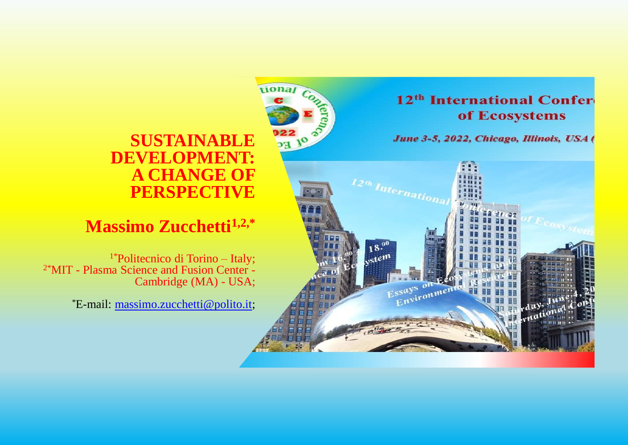#### **SUSTAINABLE DEVELOPMENT: A CHANGE OF PERSPECTIVE**

tional,

#### **Massimo Zucchetti1,2,\***

1\*Politecnico di Torino – Italy; 2\*MIT - Plasma Science and Fusion Center - Cambridge (MA) - USA;

\*E-mail: [massimo.zucchetti@polito.it;](mailto:massimo.zucchetti@polito.it)



June 3-5, 2022, Chicago, Illinois, USA (

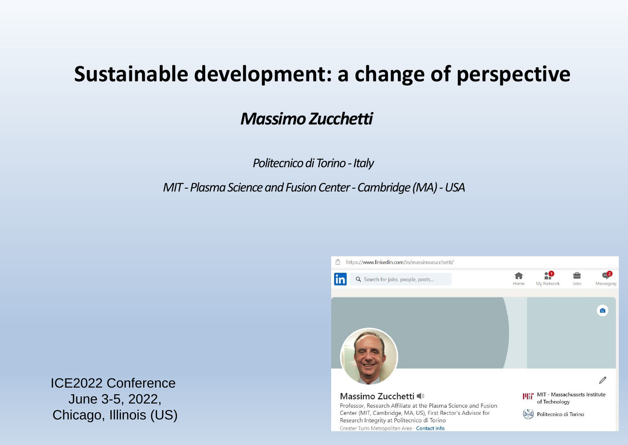# **Sustainable development: a change of perspective**

# *Massimo Zucchetti*

*Politecnico di Torino - Italy* 

*MIT -Plasma Science and Fusion Center -Cambridge (MA) -USA*



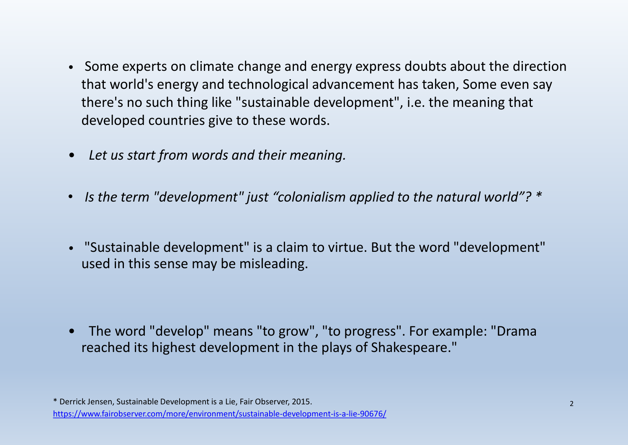- Some experts on climate change and energy express doubts about the direction that world's energy and technological advancement has taken, Some even say there's no such thing like "sustainable development", i.e. the meaning that developed countries give to these words.
- *Let us start from words and their meaning.*
- *Is the term "development" just "colonialism applied to the natural world"? \**
- *•* "Sustainable development" is a claim to virtue. But the word "development" used in this sense may be misleading.

• The word "develop" means "to grow", "to progress". For example: "Drama reached its highest development in the plays of Shakespeare."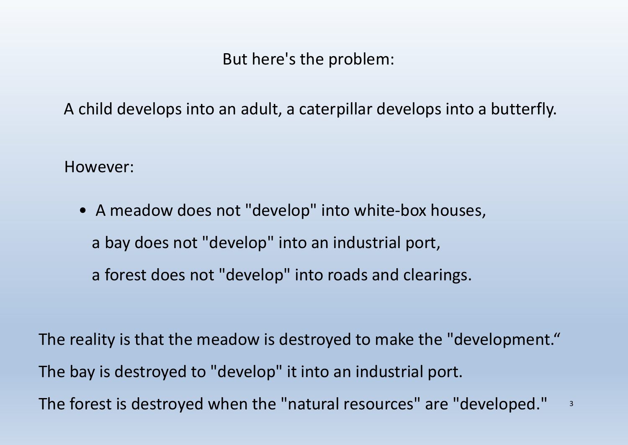But here's the problem:

A child develops into an adult, a caterpillar develops into a butterfly.

However:

• A meadow does not "develop" into white-box houses, a bay does not "develop" into an industrial port, a forest does not "develop" into roads and clearings.

The reality is that the meadow is destroyed to make the "development." The bay is destroyed to "develop" it into an industrial port. The forest is destroyed when the "natural resources" are "developed." 3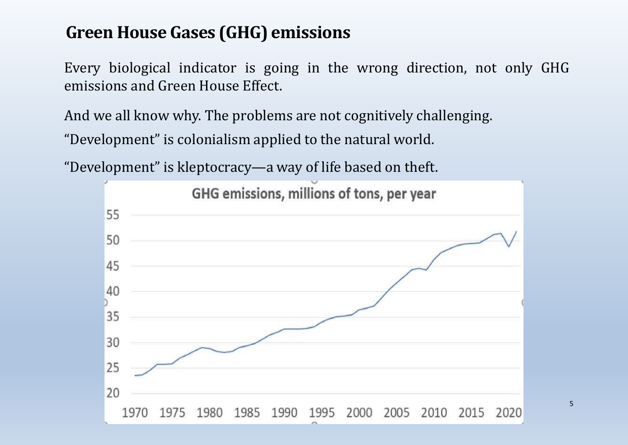# **Green House Gases (GHG) emissions**

Every biological indicator is going in the wrong direction, not only GHG emissions and Green House Effect.

And we all know why. The problems are not cognitively challenging. "Development" is colonialism applied to the natural world.

"Development" is kleptocracy—a way of life based on theft.



5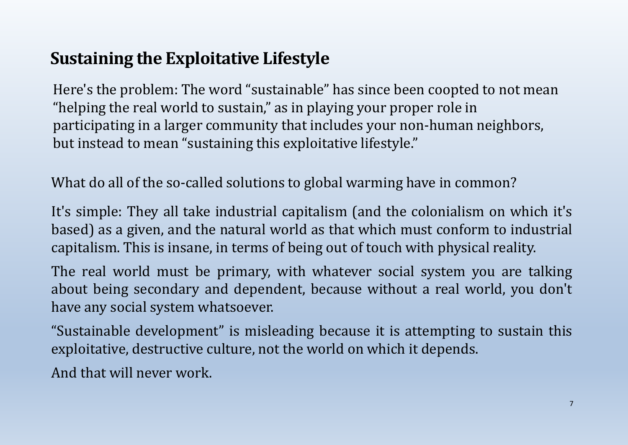# **Sustaining the Exploitative Lifestyle**

Here's the problem: The word "sustainable" has since been coopted to not mean "helping the real world to sustain," as in playing your proper role in participating in a larger community that includes your non-human neighbors, but instead to mean "sustaining this exploitative lifestyle."

What do all of the so-called solutions to global warming have in common?

It's simple: They all take industrial capitalism (and the colonialism on which it's based) as a given, and the natural world as that which must conform to industrial capitalism. This is insane, in terms of being out of touch with physical reality.

The real world must be primary, with whatever social system you are talking about being secondary and dependent, because without a real world, you don't have any social system whatsoever.

"Sustainable development" is misleading because it is attempting to sustain this exploitative, destructive culture, not the world on which it depends.

And that will never work.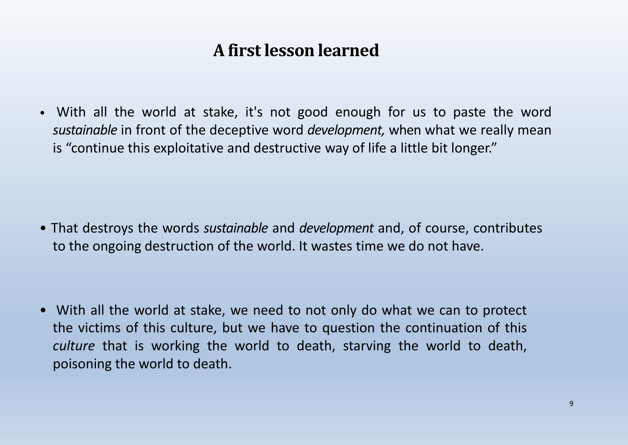# **A first lesson learned**

• With all the world at stake, it's not good enough for us to paste the word *sustainable* in front of the deceptive word *development,* when what we really mean is "continue this exploitative and destructive way of life a little bit longer."

• That destroys the words *sustainable* and *development* and, of course, contributes to the ongoing destruction of the world. It wastes time we do not have.

• With all the world at stake, we need to not only do what we can to protect the victims of this culture, but we have to question the continuation of this *culture* that is working the world to death, starving the world to death, poisoning the world to death.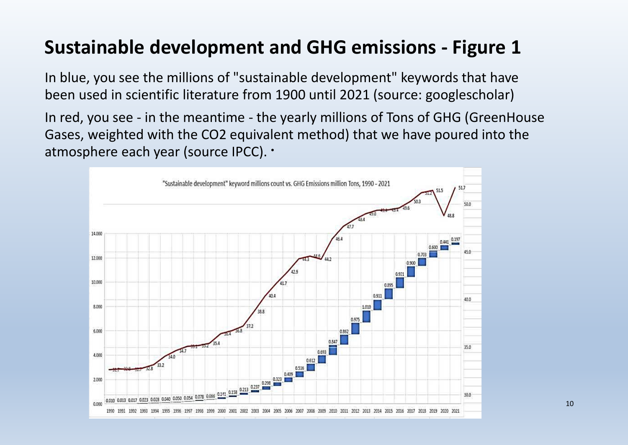# **Sustainable development and GHG emissions - Figure 1**

In blue, you see the millions of "sustainable development" keywords that have been used in scientific literature from 1900 until 2021 (source: googlescholar)

In red, you see - in the meantime - the yearly millions of Tons of GHG (GreenHouse Gases, weighted with the CO2 equivalent method) that we have poured into the atmosphere each year (source IPCC). •

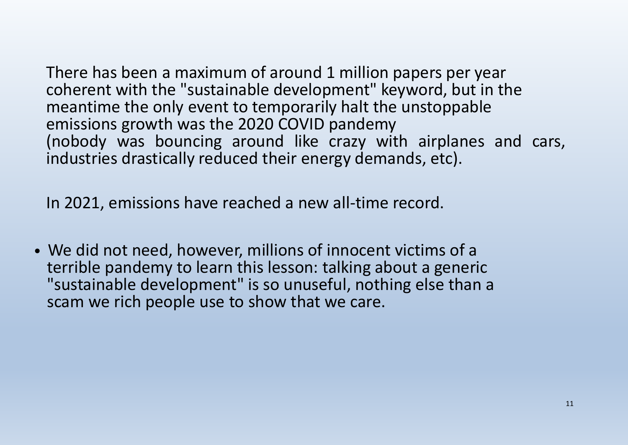There has been a maximum of around 1 million papers per year coherent with the "sustainable development" keyword, but in the meantime the only event to temporarily halt the unstoppable emissions growth was the 2020 COVID pandemy (nobody was bouncing around like crazy with airplanes and cars, industries drastically reduced their energy demands, etc).

In 2021, emissions have reached a new all-time record.

• We did not need, however, millions of innocent victims of a terrible pandemy to learn this lesson: talking about a generic "sustainable development" is so unuseful, nothing else than a scam we rich people use to show that we care.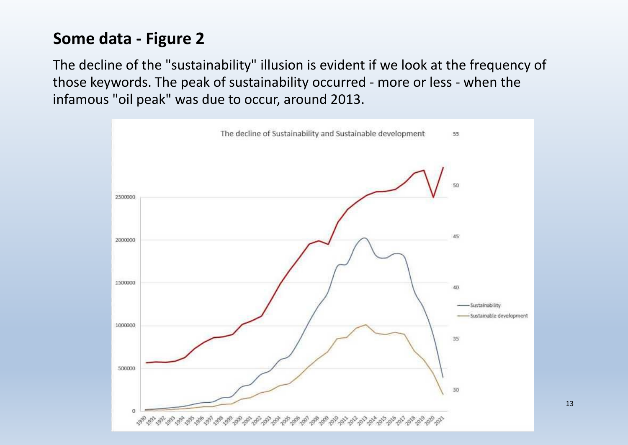# **Some data - Figure 2**

The decline of the "sustainability" illusion is evident if we look at the frequency of those keywords. The peak of sustainability occurred - more or less - when the infamous "oil peak" was due to occur, around 2013.



13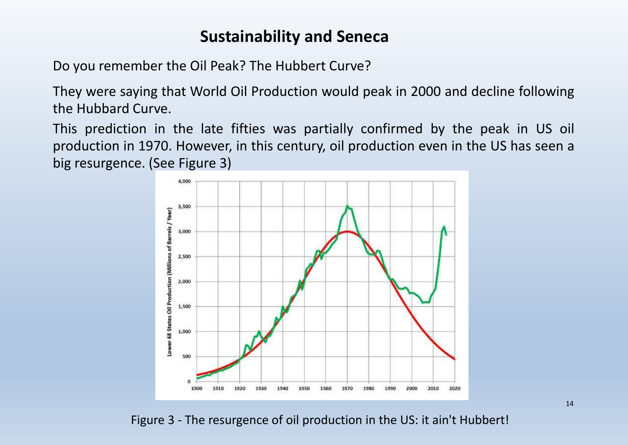## **Sustainability and Seneca**

Do you remember the Oil Peak? The Hubbert Curve?

They were saying that World Oil Production would peak in 2000 and decline following the Hubbard Curve.

This prediction in the late fifties was partially confirmed by the peak in US oil production in 1970. However, in this century, oil production even in the US has seen a big resurgence. (See Figure 3)



Figure 3 - The resurgence of oil production in the US: it ain't Hubbert!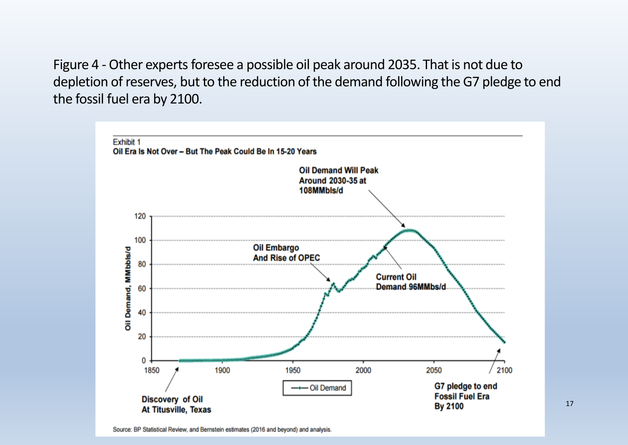Figure 4 - Other experts foresee a possible oil peak around 2035. That is not due to depletion of reserves, but to the reduction of the demand following the G7 pledge to end the fossil fuel era by 2100.



17